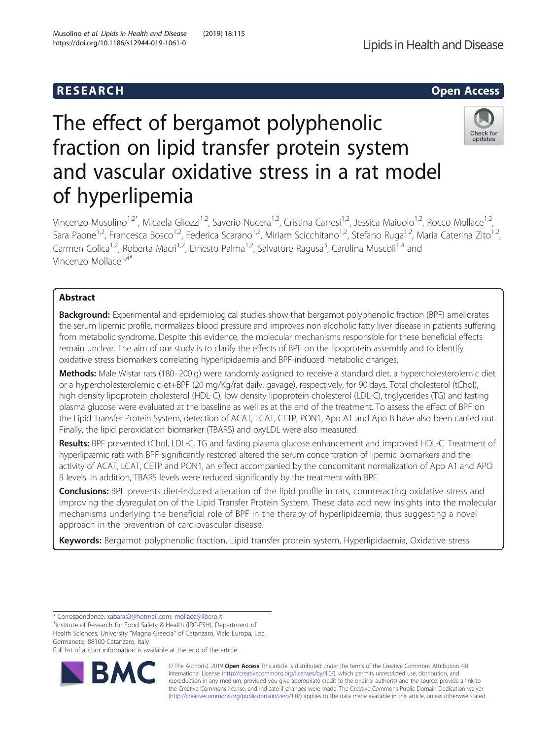

# The effect of bergamot polyphenolic fraction on lipid transfer protein system and vascular oxidative stress in a rat model of hyperlipemia



Vincenzo Musolino<sup>1,2\*</sup>, Micaela Gliozzi<sup>1,2</sup>, Saverio Nucera<sup>1,2</sup>, Cristina Carresi<sup>1,2</sup>, Jessica Maiuolo<sup>1,2</sup>, Rocco Mollace<sup>1,2</sup>, Sara Paone<sup>1,2</sup>, Francesca Bosco<sup>1,2</sup>, Federica Scarano<sup>1,2</sup>, Miriam Scicchitano<sup>1,2</sup>, Stefano Ruga<sup>1,2</sup>, Maria Caterina Zito<sup>1,2</sup>, Carmen Colica<sup>1,2</sup>, Roberta Macrì<sup>1,2</sup>, Ernesto Palma<sup>1,2</sup>, Salvatore Ragusa<sup>3</sup>, Carolina Muscoli<sup>1,4</sup> and Vincenzo Mollace<sup>1,4\*</sup>

## Abstract

Background: Experimental and epidemiological studies show that bergamot polyphenolic fraction (BPF) ameliorates the serum lipemic profile, normalizes blood pressure and improves non alcoholic fatty liver disease in patients suffering from metabolic syndrome. Despite this evidence, the molecular mechanisms responsible for these beneficial effects remain unclear. The aim of our study is to clarify the effects of BPF on the lipoprotein assembly and to identify oxidative stress biomarkers correlating hyperlipidaemia and BPF-induced metabolic changes.

Methods: Male Wistar rats (180–200 g) were randomly assigned to receive a standard diet, a hypercholesterolemic diet or a hypercholesterolemic diet+BPF (20 mg/Kg/rat daily, gavage), respectively, for 90 days. Total cholesterol (tChol), high density lipoprotein cholesterol (HDL-C), low density lipoprotein cholesterol (LDL-C), triglycerides (TG) and fasting plasma glucose were evaluated at the baseline as well as at the end of the treatment. To assess the effect of BPF on the Lipid Transfer Protein System, detection of ACAT, LCAT, CETP, PON1, Apo A1 and Apo B have also been carried out. Finally, the lipid peroxidation biomarker (TBARS) and oxyLDL were also measured.

Results: BPF prevented tChol, LDL-C, TG and fasting plasma glucose enhancement and improved HDL-C. Treatment of hyperlipæmic rats with BPF significantly restored altered the serum concentration of lipemic biomarkers and the activity of ACAT, LCAT, CETP and PON1, an effect accompanied by the concomitant normalization of Apo A1 and APO B levels. In addition, TBARS levels were reduced significantly by the treatment with BPF.

**Conclusions:** BPF prevents diet-induced alteration of the lipid profile in rats, counteracting oxidative stress and improving the dysregulation of the Lipid Transfer Protein System. These data add new insights into the molecular mechanisms underlying the beneficial role of BPF in the therapy of hyperlipidaemia, thus suggesting a novel approach in the prevention of cardiovascular disease.

Keywords: Bergamot polyphenolic fraction, Lipid transfer protein system, Hyperlipidaemia, Oxidative stress

\* Correspondence: [xabaras3@hotmail.com](mailto:xabaras3@hotmail.com); [mollace@libero.it](mailto:mollace@libero.it) <sup>1</sup>

<sup>1</sup>Institute of Research for Food Safety & Health (IRC-FSH), Department of Health Sciences, University "Magna Graecia" of Catanzaro, Viale Europa, Loc. Germaneto, 88100 Catanzaro, Italy

Full list of author information is available at the end of the article



© The Author(s). 2019 **Open Access** This article is distributed under the terms of the Creative Commons Attribution 4.0 International License [\(http://creativecommons.org/licenses/by/4.0/](http://creativecommons.org/licenses/by/4.0/)), which permits unrestricted use, distribution, and reproduction in any medium, provided you give appropriate credit to the original author(s) and the source, provide a link to the Creative Commons license, and indicate if changes were made. The Creative Commons Public Domain Dedication waiver [\(http://creativecommons.org/publicdomain/zero/1.0/](http://creativecommons.org/publicdomain/zero/1.0/)) applies to the data made available in this article, unless otherwise stated.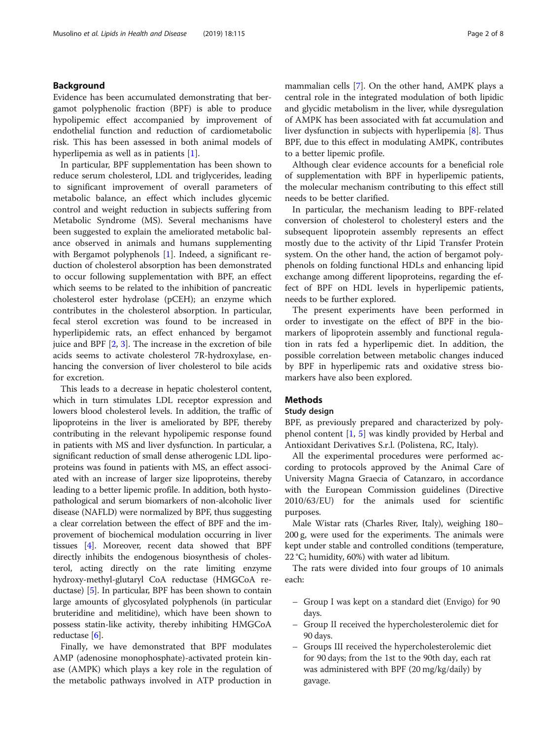#### Background

Evidence has been accumulated demonstrating that bergamot polyphenolic fraction (BPF) is able to produce hypolipemic effect accompanied by improvement of endothelial function and reduction of cardiometabolic risk. This has been assessed in both animal models of hyperlipemia as well as in patients [\[1](#page-7-0)].

In particular, BPF supplementation has been shown to reduce serum cholesterol, LDL and triglycerides, leading to significant improvement of overall parameters of metabolic balance, an effect which includes glycemic control and weight reduction in subjects suffering from Metabolic Syndrome (MS). Several mechanisms have been suggested to explain the ameliorated metabolic balance observed in animals and humans supplementing with Bergamot polyphenols [\[1](#page-7-0)]. Indeed, a significant reduction of cholesterol absorption has been demonstrated to occur following supplementation with BPF, an effect which seems to be related to the inhibition of pancreatic cholesterol ester hydrolase (pCEH); an enzyme which contributes in the cholesterol absorption. In particular, fecal sterol excretion was found to be increased in hyperlipidemic rats, an effect enhanced by bergamot juice and BPF [\[2](#page-7-0), [3](#page-7-0)]. The increase in the excretion of bile acids seems to activate cholesterol 7R-hydroxylase, enhancing the conversion of liver cholesterol to bile acids for excretion.

This leads to a decrease in hepatic cholesterol content, which in turn stimulates LDL receptor expression and lowers blood cholesterol levels. In addition, the traffic of lipoproteins in the liver is ameliorated by BPF, thereby contributing in the relevant hypolipemic response found in patients with MS and liver dysfunction. In particular, a significant reduction of small dense atherogenic LDL lipoproteins was found in patients with MS, an effect associated with an increase of larger size lipoproteins, thereby leading to a better lipemic profile. In addition, both hystopathological and serum biomarkers of non-alcoholic liver disease (NAFLD) were normalized by BPF, thus suggesting a clear correlation between the effect of BPF and the improvement of biochemical modulation occurring in liver tissues [\[4\]](#page-7-0). Moreover, recent data showed that BPF directly inhibits the endogenous biosynthesis of cholesterol, acting directly on the rate limiting enzyme hydroxy-methyl-glutaryl CoA reductase (HMGCoA reductase) [\[5\]](#page-7-0). In particular, BPF has been shown to contain large amounts of glycosylated polyphenols (in particular bruteridine and melitidine), which have been shown to possess statin-like activity, thereby inhibiting HMGCoA reductase [\[6](#page-7-0)].

Finally, we have demonstrated that BPF modulates AMP (adenosine monophosphate)-activated protein kinase (AMPK) which plays a key role in the regulation of the metabolic pathways involved in ATP production in mammalian cells [[7\]](#page-7-0). On the other hand, AMPK plays a central role in the integrated modulation of both lipidic and glycidic metabolism in the liver, while dysregulation of AMPK has been associated with fat accumulation and liver dysfunction in subjects with hyperlipemia [\[8](#page-7-0)]. Thus BPF, due to this effect in modulating AMPK, contributes to a better lipemic profile.

Although clear evidence accounts for a beneficial role of supplementation with BPF in hyperlipemic patients, the molecular mechanism contributing to this effect still needs to be better clarified.

In particular, the mechanism leading to BPF-related conversion of cholesterol to cholesteryl esters and the subsequent lipoprotein assembly represents an effect mostly due to the activity of thr Lipid Transfer Protein system. On the other hand, the action of bergamot polyphenols on folding functional HDLs and enhancing lipid exchange among different lipoproteins, regarding the effect of BPF on HDL levels in hyperlipemic patients, needs to be further explored.

The present experiments have been performed in order to investigate on the effect of BPF in the biomarkers of lipoprotein assembly and functional regulation in rats fed a hyperlipemic diet. In addition, the possible correlation between metabolic changes induced by BPF in hyperlipemic rats and oxidative stress biomarkers have also been explored.

#### **Methods**

#### Study design

BPF, as previously prepared and characterized by polyphenol content [\[1](#page-7-0), [5](#page-7-0)] was kindly provided by Herbal and Antioxidant Derivatives S.r.l. (Polistena, RC, Italy).

All the experimental procedures were performed according to protocols approved by the Animal Care of University Magna Graecia of Catanzaro, in accordance with the European Commission guidelines (Directive 2010/63/EU) for the animals used for scientific purposes.

Male Wistar rats (Charles River, Italy), weighing 180– 200 g, were used for the experiments. The animals were kept under stable and controlled conditions (temperature, 22 °C; humidity, 60%) with water ad libitum.

The rats were divided into four groups of 10 animals each:

- Group I was kept on a standard diet (Envigo) for 90 days.
- Group II received the hypercholesterolemic diet for 90 days.
- Groups III received the hypercholesterolemic diet for 90 days; from the 1st to the 90th day, each rat was administered with BPF (20 mg/kg/daily) by gavage.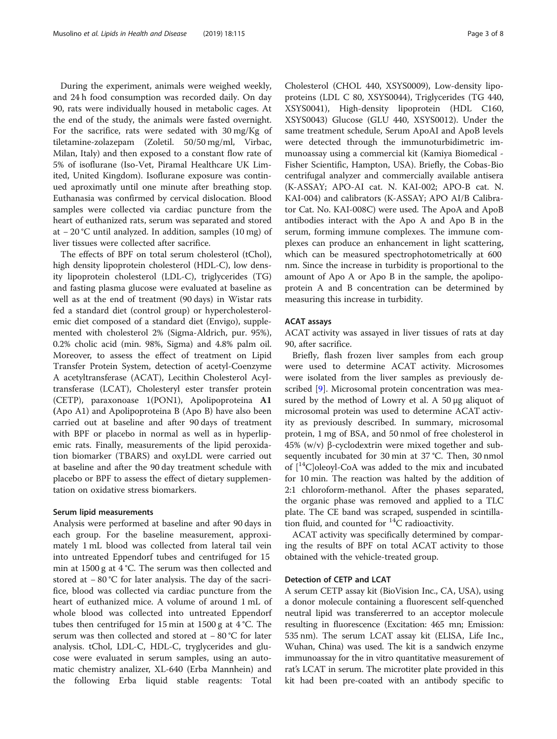During the experiment, animals were weighed weekly, and 24 h food consumption was recorded daily. On day 90, rats were individually housed in metabolic cages. At the end of the study, the animals were fasted overnight. For the sacrifice, rats were sedated with 30 mg/Kg of tiletamine-zolazepam (Zoletil. 50/50 mg/ml, Virbac, Milan, Italy) and then exposed to a constant flow rate of 5% of isoflurane (Iso-Vet, Piramal Healthcare UK Limited, United Kingdom). Isoflurane exposure was continued aproximatly until one minute after breathing stop. Euthanasia was confirmed by cervical dislocation. Blood samples were collected via cardiac puncture from the heart of euthanized rats, serum was separated and stored at − 20 °C until analyzed. In addition, samples (10 mg) of liver tissues were collected after sacrifice.

The effects of BPF on total serum cholesterol (tChol), high density lipoprotein cholesterol (HDL-C), low density lipoprotein cholesterol (LDL-C), triglycerides (TG) and fasting plasma glucose were evaluated at baseline as well as at the end of treatment (90 days) in Wistar rats fed a standard diet (control group) or hypercholesterolemic diet composed of a standard diet (Envigo), supplemented with cholesterol 2% (Sigma-Aldrich, pur. 95%), 0.2% cholic acid (min. 98%, Sigma) and 4.8% palm oil. Moreover, to assess the effect of treatment on Lipid Transfer Protein System, detection of acetyl-Coenzyme A acetyltransferase (ACAT), Lecithin Cholesterol Acyltransferase (LCAT), Cholesteryl ester transfer protein (CETP), paraxonoase 1(PON1), Apolipoproteina A1 (Apo A1) and Apolipoproteina B (Apo B) have also been carried out at baseline and after 90 days of treatment with BPF or placebo in normal as well as in hyperlipemic rats. Finally, measurements of the lipid peroxidation biomarker (TBARS) and oxyLDL were carried out at baseline and after the 90 day treatment schedule with placebo or BPF to assess the effect of dietary supplementation on oxidative stress biomarkers.

#### Serum lipid measurements

Analysis were performed at baseline and after 90 days in each group. For the baseline measurement, approximately 1 mL blood was collected from lateral tail vein into untreated Eppendorf tubes and centrifuged for 15 min at 1500 g at 4 °C. The serum was then collected and stored at − 80 °C for later analysis. The day of the sacrifice, blood was collected via cardiac puncture from the heart of euthanized mice. A volume of around 1 mL of whole blood was collected into untreated Eppendorf tubes then centrifuged for 15 min at 1500 g at 4 °C. The serum was then collected and stored at − 80 °C for later analysis. tChol, LDL-C, HDL-C, tryglycerides and glucose were evaluated in serum samples, using an automatic chemistry analizer, XL-640 (Erba Mannhein) and the following Erba liquid stable reagents: Total

Cholesterol (CHOL 440, XSYS0009), Low-density lipoproteins (LDL C 80, XSYS0044), Triglycerides (TG 440, XSYS0041), High-density lipoprotein (HDL C160, XSYS0043) Glucose (GLU 440, XSYS0012). Under the same treatment schedule, Serum ApoAI and ApoB levels were detected through the immunoturbidimetric immunoassay using a commercial kit (Kamiya Biomedical - Fisher Scientific, Hampton, USA). Briefly, the Cobas-Bio centrifugal analyzer and commercially available antisera (K-ASSAY; APO-AI cat. N. KAI-002; APO-B cat. N. KAI-004) and calibrators (K-ASSAY; APO AI/B Calibrator Cat. No. KAI-008C) were used. The ApoA and ApoB antibodies interact with the Apo A and Apo B in the serum, forming immune complexes. The immune complexes can produce an enhancement in light scattering, which can be measured spectrophotometrically at 600 nm. Since the increase in turbidity is proportional to the amount of Apo A or Apo B in the sample, the apolipoprotein A and B concentration can be determined by measuring this increase in turbidity.

#### ACAT assays

ACAT activity was assayed in liver tissues of rats at day 90, after sacrifice.

Briefly, flash frozen liver samples from each group were used to determine ACAT activity. Microsomes were isolated from the liver samples as previously described [\[9](#page-7-0)]. Microsomal protein concentration was measured by the method of Lowry et al. A 50 μg aliquot of microsomal protein was used to determine ACAT activity as previously described. In summary, microsomal protein, 1 mg of BSA, and 50 nmol of free cholesterol in 45% (w/v) β-cyclodextrin were mixed together and subsequently incubated for 30 min at 37 °C. Then, 30 nmol of  $[{}^{14}C]$ oleoyl-CoA was added to the mix and incubated for 10 min. The reaction was halted by the addition of 2:1 chloroform-methanol. After the phases separated, the organic phase was removed and applied to a TLC plate. The CE band was scraped, suspended in scintillation fluid, and counted for  ${}^{14}C$  radioactivity.

ACAT activity was specifically determined by comparing the results of BPF on total ACAT activity to those obtained with the vehicle-treated group.

#### Detection of CETP and LCAT

A serum CETP assay kit (BioVision Inc., CA, USA), using a donor molecule containing a fluorescent self-quenched neutral lipid was transfererred to an acceptor molecule resulting in fluorescence (Excitation: 465 mn; Emission: 535 nm). The serum LCAT assay kit (ELISA, Life Inc., Wuhan, China) was used. The kit is a sandwich enzyme immunoassay for the in vitro quantitative measurement of rat's LCAT in serum. The microtiter plate provided in this kit had been pre-coated with an antibody specific to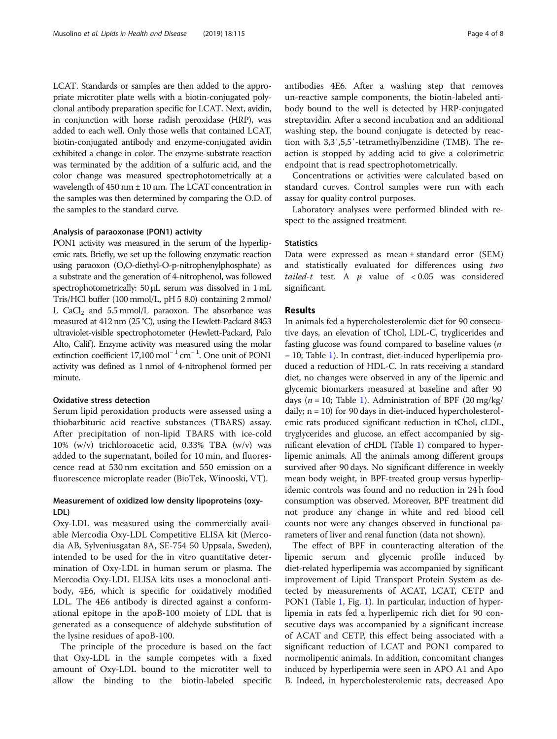LCAT. Standards or samples are then added to the appropriate microtiter plate wells with a biotin-conjugated polyclonal antibody preparation specific for LCAT. Next, avidin, in conjunction with horse radish peroxidase (HRP), was added to each well. Only those wells that contained LCAT, biotin-conjugated antibody and enzyme-conjugated avidin exhibited a change in color. The enzyme-substrate reaction was terminated by the addition of a sulfuric acid, and the color change was measured spectrophotometrically at a wavelength of 450 nm ± 10 nm. The LCAT concentration in the samples was then determined by comparing the O.D. of the samples to the standard curve.

#### Analysis of paraoxonase (PON1) activity

PON1 activity was measured in the serum of the hyperlipemic rats. Briefly, we set up the following enzymatic reaction using paraoxon (O,O-diethyl-O-p-nitrophenylphosphate) as a substrate and the generation of 4-nitrophenol, was followed spectrophotometrically: 50 μL serum was dissolved in 1 mL Tris/HCl buffer (100 mmol/L, pH 5 8.0) containing 2 mmol/ L CaCl<sub>2</sub> and 5.5 mmol/L paraoxon. The absorbance was measured at 412 nm (25 °C), using the Hewlett-Packard 8453 ultraviolet-visible spectrophotometer (Hewlett-Packard, Palo Alto, Calif). Enzyme activity was measured using the molar extinction coefficient 17,100 mol<sup>-1</sup> cm<sup>-1</sup>. One unit of PON1 activity was defined as 1 nmol of 4-nitrophenol formed per minute.

### Oxidative stress detection

Serum lipid peroxidation products were assessed using a thiobarbituric acid reactive substances (TBARS) assay. After precipitation of non-lipid TBARS with ice-cold 10% (w/v) trichloroacetic acid, 0.33% TBA (w/v) was added to the supernatant, boiled for 10 min, and fluorescence read at 530 nm excitation and 550 emission on a fluorescence microplate reader (BioTek, Winooski, VT).

### Measurement of oxidized low density lipoproteins (oxy-LDL)

Oxy-LDL was measured using the commercially available Mercodia Oxy-LDL Competitive ELISA kit (Mercodia AB, Sylveniusgatan 8A, SE-754 50 Uppsala, Sweden), intended to be used for the in vitro quantitative determination of Oxy-LDL in human serum or plasma. The Mercodia Oxy-LDL ELISA kits uses a monoclonal antibody, 4E6, which is specific for oxidatively modified LDL. The 4E6 antibody is directed against a conformational epitope in the apoB-100 moiety of LDL that is generated as a consequence of aldehyde substitution of the lysine residues of apoB-100.

The principle of the procedure is based on the fact that Oxy-LDL in the sample competes with a fixed amount of Oxy-LDL bound to the microtiter well to allow the binding to the biotin-labeled specific antibodies 4E6. After a washing step that removes un-reactive sample components, the biotin-labeled antibody bound to the well is detected by HRP-conjugated streptavidin. After a second incubation and an additional washing step, the bound conjugate is detected by reaction with 3,3′,5,5′-tetramethylbenzidine (TMB). The reaction is stopped by adding acid to give a colorimetric endpoint that is read spectrophotometrically.

Concentrations or activities were calculated based on standard curves. Control samples were run with each assay for quality control purposes.

Laboratory analyses were performed blinded with respect to the assigned treatment.

#### **Statistics**

Data were expressed as mean ± standard error (SEM) and statistically evaluated for differences using two tailed-t test. A  $p$  value of < 0.05 was considered significant.

#### Results

In animals fed a hypercholesterolemic diet for 90 consecutive days, an elevation of tChol, LDL-C, tryglicerides and fasting glucose was found compared to baseline values (n = 10; Table [1](#page-4-0)). In contrast, diet-induced hyperlipemia produced a reduction of HDL-C. In rats receiving a standard diet, no changes were observed in any of the lipemic and glycemic biomarkers measured at baseline and after 90 days ( $n = 10$ ; Table [1\)](#page-4-0). Administration of BPF (20 mg/kg/ daily;  $n = 10$ ) for 90 days in diet-induced hypercholesterolemic rats produced significant reduction in tChol, cLDL, tryglycerides and glucose, an effect accompanied by significant elevation of cHDL (Table [1\)](#page-4-0) compared to hyperlipemic animals. All the animals among different groups survived after 90 days. No significant difference in weekly mean body weight, in BPF-treated group versus hyperlipidemic controls was found and no reduction in 24 h food consumption was observed. Moreover, BPF treatment did not produce any change in white and red blood cell counts nor were any changes observed in functional parameters of liver and renal function (data not shown).

The effect of BPF in counteracting alteration of the lipemic serum and glycemic profile induced by diet-related hyperlipemia was accompanied by significant improvement of Lipid Transport Protein System as detected by measurements of ACAT, LCAT, CETP and PON1 (Table [1,](#page-4-0) Fig. [1\)](#page-4-0). In particular, induction of hyperlipemia in rats fed a hyperlipemic rich diet for 90 consecutive days was accompanied by a significant increase of ACAT and CETP, this effect being associated with a significant reduction of LCAT and PON1 compared to normolipemic animals. In addition, concomitant changes induced by hyperlipemia were seen in APO A1 and Apo B. Indeed, in hypercholesterolemic rats, decreased Apo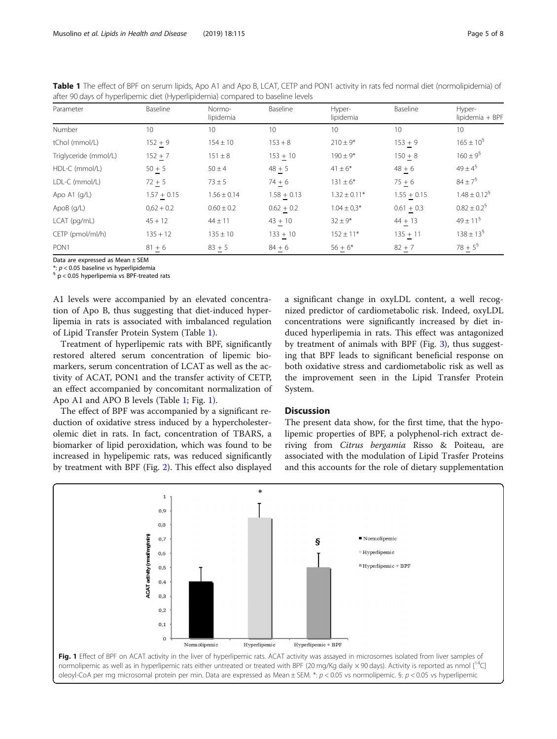<span id="page-4-0"></span>Table 1 The effect of BPF on serum lipids, Apo A1 and Apo B, LCAT, CETP and PON1 activity in rats fed normal diet (normolipidemia) of after 90 days of hyperlipemic diet (Hyperlipidemia) compared to baseline levels

| Parameter             | Baseline      | Normo-<br>lipidemia | Baseline      | Hyper-<br>lipidemia | Baseline        | Hyper-<br>lipidemia + BPF   |
|-----------------------|---------------|---------------------|---------------|---------------------|-----------------|-----------------------------|
| Number                | 10            | 10                  | 10            | 10                  | 10 <sup>1</sup> | 10 <sup>°</sup>             |
| tChol (mmol/L)        | $152 + 9$     | $154 \pm 10$        | $153 + 8$     | $210 \pm 9*$        | $153 + 9$       | $165 \pm 10^9$              |
| Triglyceride (mmol/L) | $152 + 7$     | $151 \pm 8$         | $153 + 10$    | $190 \pm 9*$        | $150 + 8$       | $160 \pm 9^{\circ}$         |
| HDL-C (mmol/L)        | $50 + 5$      | $50 \pm 4$          | $48 + 5$      | $41 \pm 6*$         | $48 + 6$        | $49 \pm 4^{6}$              |
| LDL-C (mmol/L)        | $72 + 5$      | $73 \pm 5$          | $74 + 6$      | $131 \pm 6*$        | $75 + 6$        | $84 \pm 7^{\frac{6}{3}}$    |
| Apo A1 $(q/L)$        | $1.57 + 0.15$ | $1.56 \pm 0.14$     | $1.58 + 0.13$ | $1.32 \pm 0.11*$    | $1.55 + 0.15$   | $1.48 \pm 0.12^9$           |
| ApoB(g/L)             | $0.62 + 0.2$  | $0.60 \pm 0.2$      | $0.62 + 0.2$  | $1.04 \pm 0.3*$     | $0.61 + 0.3$    | $0.82 \pm 0.2$ <sup>§</sup> |
| LCAT (pg/mL)          | $45 + 12$     | $44 \pm 11$         | $43 + 10$     | $32 \pm 9*$         | $44 + 13$       | $49 \pm 11^9$               |
| CETP (pmol/ml/h)      | $135 + 12$    | $135 \pm 10$        | $133 + 10$    | $152 \pm 11*$       | $135 + 11$      | $138 \pm 13^5$              |
| PON <sub>1</sub>      | $81 + 6$      | $83 + 5$            | $84 + 6$      | $56 + 6*$           | $82 + 7$        | $78 + 5^9$                  |

Data are expressed as Mean ± SEM

\*:  $p < 0.05$  baseline vs hyperlipidemia<br>
§ p < 0.05 hyperlipemia vs BPF-treated rats

A1 levels were accompanied by an elevated concentration of Apo B, thus suggesting that diet-induced hyperlipemia in rats is associated with imbalanced regulation of Lipid Transfer Protein System (Table 1).

Treatment of hyperlipemic rats with BPF, significantly restored altered serum concentration of lipemic biomarkers, serum concentration of LCAT as well as the activity of ACAT, PON1 and the transfer activity of CETP, an effect accompanied by concomitant normalization of Apo A1 and APO B levels (Table 1; Fig. 1).

The effect of BPF was accompanied by a significant reduction of oxidative stress induced by a hypercholesterolemic diet in rats. In fact, concentration of TBARS, a biomarker of lipid peroxidation, which was found to be increased in hypelipemic rats, was reduced significantly by treatment with BPF (Fig. [2\)](#page-5-0). This effect also displayed

a significant change in oxyLDL content, a well recognized predictor of cardiometabolic risk. Indeed, oxyLDL concentrations were significantly increased by diet induced hyperlipemia in rats. This effect was antagonized by treatment of animals with BPF (Fig. [3](#page-5-0)), thus suggesting that BPF leads to significant beneficial response on both oxidative stress and cardiometabolic risk as well as the improvement seen in the Lipid Transfer Protein System.

#### **Discussion**

The present data show, for the first time, that the hypolipemic properties of BPF, a polyphenol-rich extract deriving from Citrus bergamia Risso & Poiteau, are associated with the modulation of Lipid Trasfer Proteins and this accounts for the role of dietary supplementation

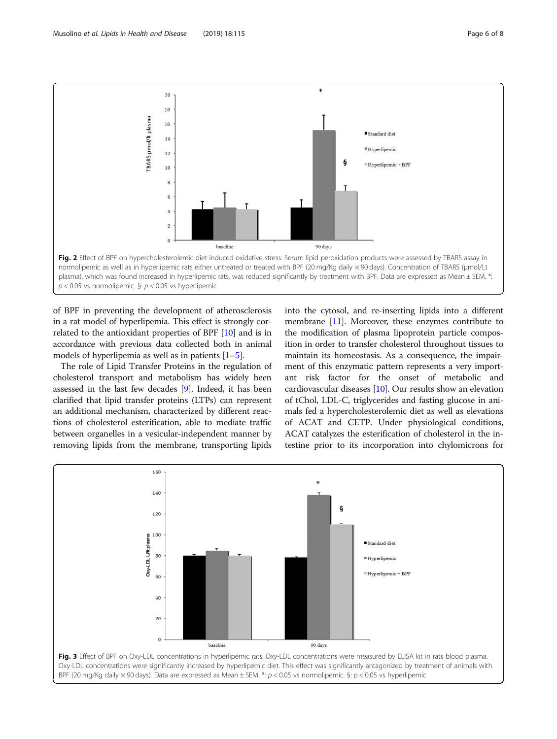<span id="page-5-0"></span>

of BPF in preventing the development of atherosclerosis in a rat model of hyperlipemia. This effect is strongly correlated to the antioxidant properties of BPF [\[10](#page-7-0)] and is in accordance with previous data collected both in animal models of hyperlipemia as well as in patients  $[1-5]$  $[1-5]$  $[1-5]$  $[1-5]$  $[1-5]$ .

The role of Lipid Transfer Proteins in the regulation of cholesterol transport and metabolism has widely been assessed in the last few decades [[9](#page-7-0)]. Indeed, it has been clarified that lipid transfer proteins (LTPs) can represent an additional mechanism, characterized by different reactions of cholesterol esterification, able to mediate traffic between organelles in a vesicular-independent manner by removing lipids from the membrane, transporting lipids

into the cytosol, and re-inserting lipids into a different membrane  $[11]$  $[11]$  $[11]$ . Moreover, these enzymes contribute to the modification of plasma lipoprotein particle composition in order to transfer cholesterol throughout tissues to maintain its homeostasis. As a consequence, the impairment of this enzymatic pattern represents a very important risk factor for the onset of metabolic and cardiovascular diseases [\[10\]](#page-7-0). Our results show an elevation of tChol, LDL-C, triglycerides and fasting glucose in animals fed a hypercholesterolemic diet as well as elevations of ACAT and CETP. Under physiological conditions, ACAT catalyzes the esterification of cholesterol in the intestine prior to its incorporation into chylomicrons for

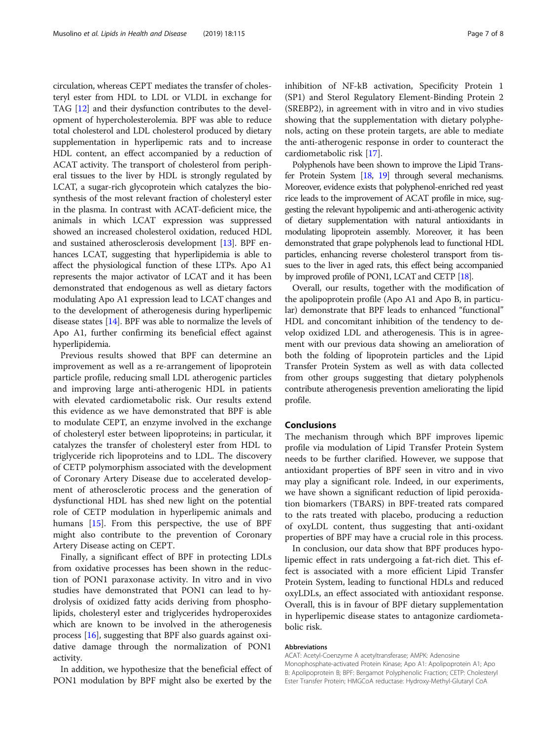circulation, whereas CEPT mediates the transfer of cholesteryl ester from HDL to LDL or VLDL in exchange for TAG [\[12\]](#page-7-0) and their dysfunction contributes to the development of hypercholesterolemia. BPF was able to reduce total cholesterol and LDL cholesterol produced by dietary supplementation in hyperlipemic rats and to increase HDL content, an effect accompanied by a reduction of ACAT activity. The transport of cholesterol from peripheral tissues to the liver by HDL is strongly regulated by LCAT, a sugar-rich glycoprotein which catalyzes the biosynthesis of the most relevant fraction of cholesteryl ester in the plasma. In contrast with ACAT-deficient mice, the animals in which LCAT expression was suppressed showed an increased cholesterol oxidation, reduced HDL and sustained atherosclerosis development [\[13\]](#page-7-0). BPF enhances LCAT, suggesting that hyperlipidemia is able to affect the physiological function of these LTPs. Apo A1 represents the major activator of LCAT and it has been demonstrated that endogenous as well as dietary factors modulating Apo A1 expression lead to LCAT changes and to the development of atherogenesis during hyperlipemic disease states [[14](#page-7-0)]. BPF was able to normalize the levels of Apo A1, further confirming its beneficial effect against hyperlipidemia.

Previous results showed that BPF can determine an improvement as well as a re-arrangement of lipoprotein particle profile, reducing small LDL atherogenic particles and improving large anti-atherogenic HDL in patients with elevated cardiometabolic risk. Our results extend this evidence as we have demonstrated that BPF is able to modulate CEPT, an enzyme involved in the exchange of cholesteryl ester between lipoproteins; in particular, it catalyzes the transfer of cholesteryl ester from HDL to triglyceride rich lipoproteins and to LDL. The discovery of CETP polymorphism associated with the development of Coronary Artery Disease due to accelerated development of atherosclerotic process and the generation of dysfunctional HDL has shed new light on the potential role of CETP modulation in hyperlipemic animals and humans [\[15\]](#page-7-0). From this perspective, the use of BPF might also contribute to the prevention of Coronary Artery Disease acting on CEPT.

Finally, a significant effect of BPF in protecting LDLs from oxidative processes has been shown in the reduction of PON1 paraxonase activity. In vitro and in vivo studies have demonstrated that PON1 can lead to hydrolysis of oxidized fatty acids deriving from phospholipids, cholesteryl ester and triglycerides hydroperoxides which are known to be involved in the atherogenesis process [\[16\]](#page-7-0), suggesting that BPF also guards against oxidative damage through the normalization of PON1 activity.

In addition, we hypothesize that the beneficial effect of PON1 modulation by BPF might also be exerted by the inhibition of NF-kB activation, Specificity Protein 1 (SP1) and Sterol Regulatory Element-Binding Protein 2 (SREBP2), in agreement with in vitro and in vivo studies showing that the supplementation with dietary polyphenols, acting on these protein targets, are able to mediate the anti-atherogenic response in order to counteract the cardiometabolic risk [[17\]](#page-7-0).

Polyphenols have been shown to improve the Lipid Transfer Protein System [\[18,](#page-7-0) [19\]](#page-7-0) through several mechanisms. Moreover, evidence exists that polyphenol-enriched red yeast rice leads to the improvement of ACAT profile in mice, suggesting the relevant hypolipemic and anti-atherogenic activity of dietary supplementation with natural antioxidants in modulating lipoprotein assembly. Moreover, it has been demonstrated that grape polyphenols lead to functional HDL particles, enhancing reverse cholesterol transport from tissues to the liver in aged rats, this effect being accompanied by improved profile of PON1, LCAT and CETP [\[18\]](#page-7-0).

Overall, our results, together with the modification of the apolipoprotein profile (Apo A1 and Apo B, in particular) demonstrate that BPF leads to enhanced "functional" HDL and concomitant inhibition of the tendency to develop oxidized LDL and atherogenesis. This is in agreement with our previous data showing an amelioration of both the folding of lipoprotein particles and the Lipid Transfer Protein System as well as with data collected from other groups suggesting that dietary polyphenols contribute atherogenesis prevention ameliorating the lipid profile.

#### Conclusions

The mechanism through which BPF improves lipemic profile via modulation of Lipid Transfer Protein System needs to be further clarified. However, we suppose that antioxidant properties of BPF seen in vitro and in vivo may play a significant role. Indeed, in our experiments, we have shown a significant reduction of lipid peroxidation biomarkers (TBARS) in BPF-treated rats compared to the rats treated with placebo, producing a reduction of oxyLDL content, thus suggesting that anti-oxidant properties of BPF may have a crucial role in this process.

In conclusion, our data show that BPF produces hypolipemic effect in rats undergoing a fat-rich diet. This effect is associated with a more efficient Lipid Transfer Protein System, leading to functional HDLs and reduced oxyLDLs, an effect associated with antioxidant response. Overall, this is in favour of BPF dietary supplementation in hyperlipemic disease states to antagonize cardiometabolic risk.

#### Abbreviations

ACAT: Acetyl-Coenzyme A acetyltransferase; AMPK: Adenosine Monophosphate-activated Protein Kinase; Apo A1: Apolipoprotein A1; Apo B: Apolipoprotein B; BPF: Bergamot Polyphenolic Fraction; CETP: Cholesteryl Ester Transfer Protein; HMGCoA reductase: Hydroxy-Methyl-Glutaryl CoA